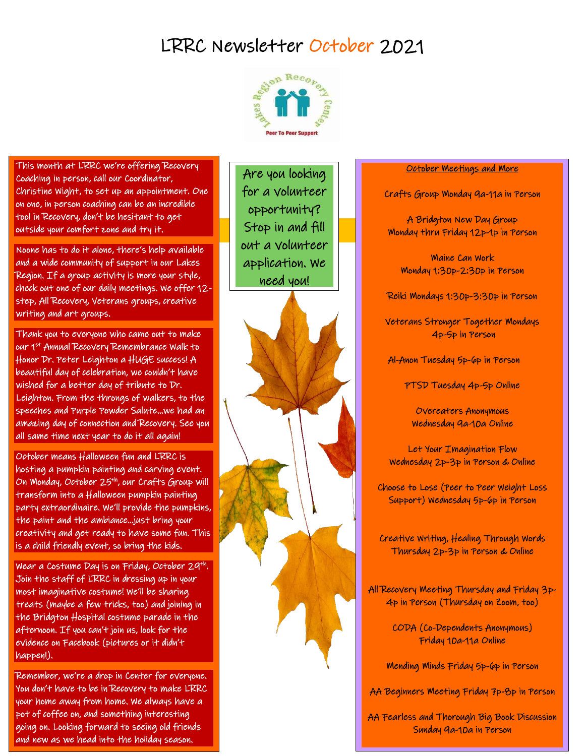## LRRC Newsletter October 2021



This month at LRRC we're offering Recovery Coaching in person, call our Coordinator, Christine Wight, to set up an appointment. One on one, in person coaching can be an incredible tool in Recovery, don't be hesitant to get outside your comfort zone and try it.

Noone has to do it alone, there's help available and a wide community of support in our Lakes Region. If a group activity is more your style, check out one of our daily meetings. We offer 12 step, All Recovery, Veterans groups, creative writing and art groups.

Thank you to everyone who came out to make our 1st Annual Recovery Remembrance Walk to Honor Dr. Peter Leighton a HUGE success! A beautiful day of celebration, we couldn't have wished for a better day of tribute to Dr. Leighton. From the throngs of walkers, to the speeches and Purple Powder Salute…we had an amazing day of connection and Recovery. See you all same time next year to do it all again!

October means Halloween fun and LRRC is hosting a pumpkin painting and carving event. On Monday, October 25th, our Crafts Group will transform into a Halloween pumpkin painting party extraordinaire. We'll provide the pumpkins, the paint and the ambiance…just bring your creativity and get ready to have some fun. This is a child friendly event, so bring the kids.

1. <sup>f</sup> ggg1 Wear a Costume Day is on Friday, October 29th . Join the staff of LRRC in dressing up in your most imaginative costume! We'll be sharing treats (maybe a few tricks, too) and joining in the Bridgton Hospital costume parade in the afternoon. If you can't join us, look for the evidence on Facebook (pictures or it didn't happen!).

Remember, we're a drop in Center for everyone. You don't have to be in Recovery to make LRRC your home away from home. We always have a pot of coffee on, and something interesting going on. Looking forward to seeing old friends and new as we head into the holiday season.

 for a volunteer Are you looking opportunity? Stop in and fill out a volunteer application. We need you!

ł

## October Meetings and More

Crafts Group Monday 9a-11a in Person

A Bridgton New Day Group Monday thru Friday 12p-1p in Person

Maine Can Work Monday 1:30p-2:30p in Person

Reiki Mondays 1:30p-3:30p in Person

Veterans Stronger Together Mondays 4p-5p in Person

Al-Anon Tuesday 5p-6p in Person

PTSD Tuesday 4p-5p Online

Overeaters Anonymous Wednesday 9a-10a Online

Let Your Imagination Flow Wednesday 2p-3p in Person & Online

Choose to Lose (Peer to Peer Weight Loss Support) Wednesday 5p-6p in Person

Creative Writing, Healing Through Words Thursday 2p-3p in Person & Online

All Recovery Meeting Thursday and Friday 3p-4p in Person (Thursday on Zoom, too)

> CODA (Co-Dependents Anonymous) Friday 10a-11a Online

Mending Minds Friday 5p-6p in Person

AA Beginners Meeting Friday 7p-8p in Person

AA Fearless and Thorough Big Book Discussion Sunday 9a-10a in Person

Ī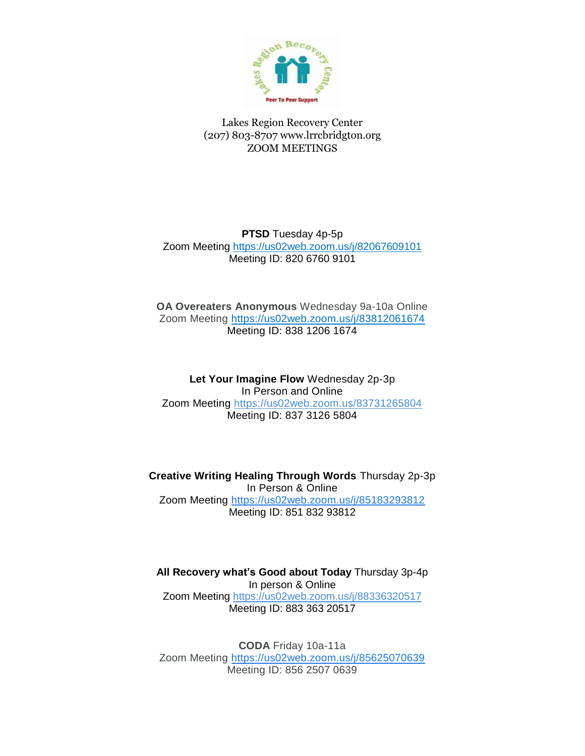

Lakes Region Recovery Center (207) 803-8707 www.lrrcbridgton.org ZOOM MEETINGS

**PTSD** Tuesday 4p-5p Zoom Meeting <https://us02web.zoom.us/j/82067609101> Meeting ID: 820 6760 9101

**OA Overeaters Anonymous** Wednesday 9a-10a Online Zoom Meeting<https://us02web.zoom.us/j/83812061674> Meeting ID: 838 1206 1674

**Let Your Imagine Flow** Wednesday 2p-3p In Person and Online Zoom Meeting <https://us02web.zoom.us/83731265804> Meeting ID: 837 3126 5804

**Creative Writing Healing Through Words** Thursday 2p-3p In Person & Online Zoom Meeting [https://us02web.zoom.us/j/85183293812](https://www.google.com/url?q=https://us02web.zoom.us/j/85183293812&sa=D&source=calendar&usd=2&usg=AOvVaw1v0-wc2wJ4CIHkDE2CSgdz) Meeting ID: 851 832 93812

**All Recovery what's Good about Today** Thursday 3p-4p In person & Online Zoom Meeting https://us02web.zoom.us/j/88336320517 Meeting ID: 883 363 20517

**CODA** Friday 10a-11a Zoom Meeting [https://us02web.zoom.us/j/85625070639](https://www.google.com/url?q=https://us02web.zoom.us/j/85625070639&sa=D&source=calendar&usd=2&usg=AOvVaw0CBaMhb5AgePu1_aowAs83) Meeting ID: 856 2507 0639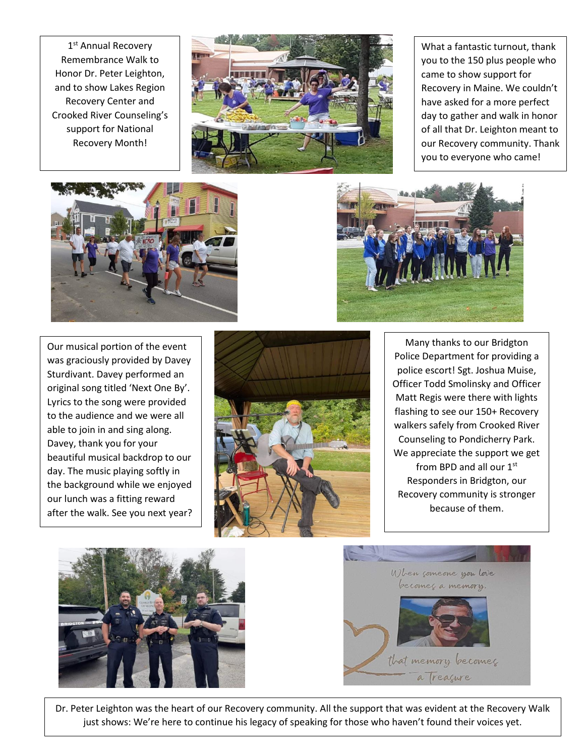1<sup>st</sup> Annual Recovery Remembrance Walk to Honor Dr. Peter Leighton, and to show Lakes Region Recovery Center and Crooked River Counseling's support for National Recovery Month!



What a fantastic turnout, thank you to the 150 plus people who came to show support for Recovery in Maine. We couldn't have asked for a more perfect day to gather and walk in honor of all that Dr. Leighton meant to our Recovery community. Thank you to everyone who came!



Our musical portion of the event was graciously provided by Davey Sturdivant. Davey performed an original song titled 'Next One By'. Lyrics to the song were provided to the audience and we were all able to join in and sing along. Davey, thank you for your beautiful musical backdrop to our day. The music playing softly in the background while we enjoyed our lunch was a fitting reward after the walk. See you next year?









Dr. Peter Leighton was the heart of our Recovery community. All the support that was evident at the Recovery Walk just shows: We're here to continue his legacy of speaking for those who haven't found their voices yet.

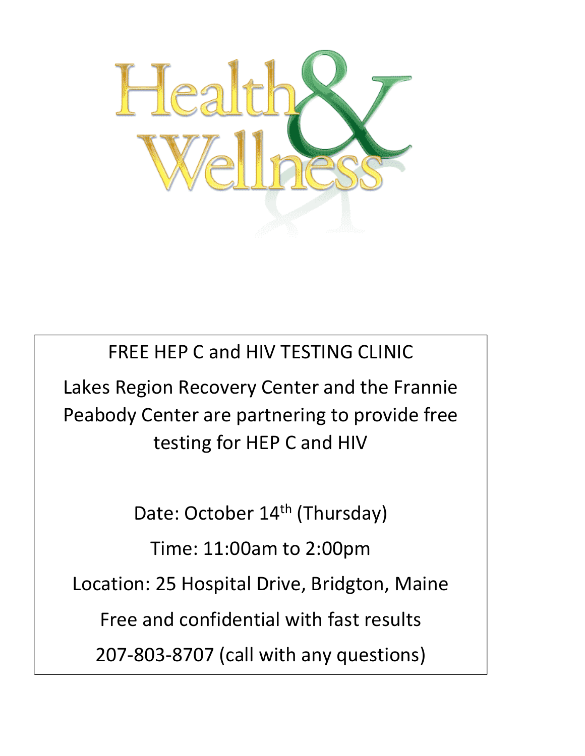

FREE HEP C and HIV TESTING CLINIC Lakes Region Recovery Center and the Frannie Peabody Center are partnering to provide free testing for HEP C and HIV

Date: October 14<sup>th</sup> (Thursday)

Time: 11:00am to 2:00pm

Location: 25 Hospital Drive, Bridgton, Maine

Free and confidential with fast results

207-803-8707 (call with any questions)